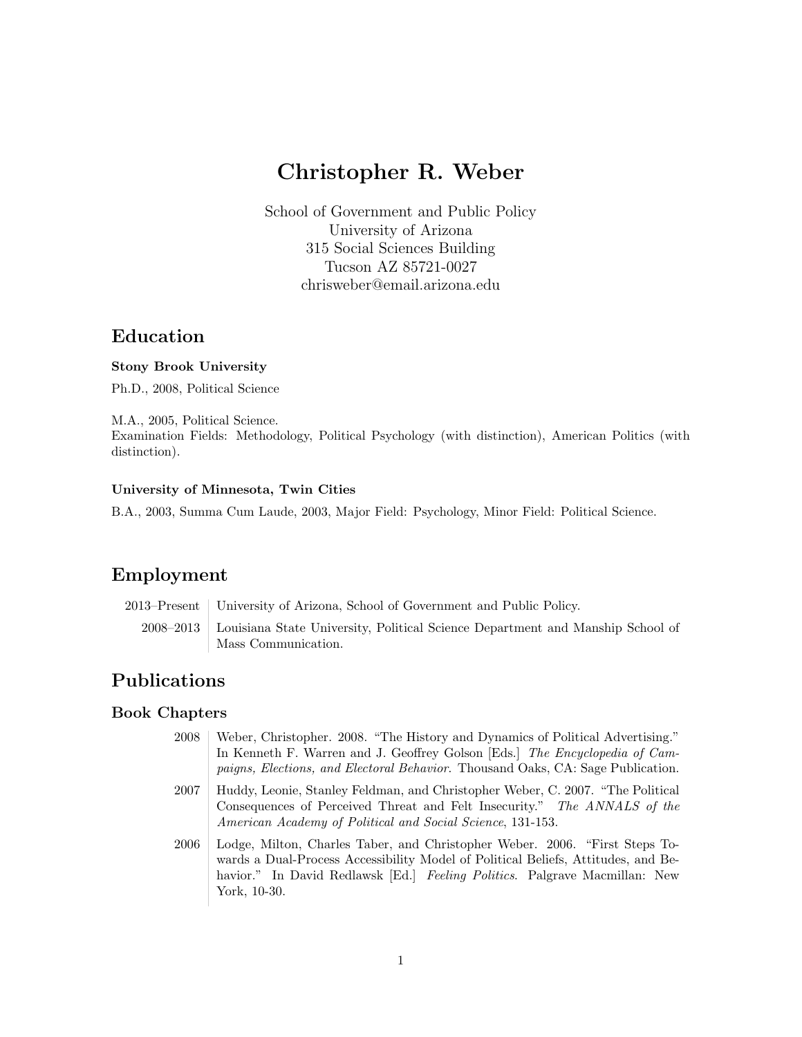# Christopher R. Weber

School of Government and Public Policy University of Arizona 315 Social Sciences Building Tucson AZ 85721-0027 chrisweber@email.arizona.edu

### Education

#### Stony Brook University

Ph.D., 2008, Political Science

M.A., 2005, Political Science. Examination Fields: Methodology, Political Psychology (with distinction), American Politics (with distinction).

#### University of Minnesota, Twin Cities

B.A., 2003, Summa Cum Laude, 2003, Major Field: Psychology, Minor Field: Political Science.

# Employment

2013–Present University of Arizona, School of Government and Public Policy.

2008–2013 Louisiana State University, Political Science Department and Manship School of Mass Communication.

# Publications

#### Book Chapters

2008 Weber, Christopher. 2008. "The History and Dynamics of Political Advertising." In Kenneth F. Warren and J. Geoffrey Golson [Eds.] The Encyclopedia of Campaigns, Elections, and Electoral Behavior. Thousand Oaks, CA: Sage Publication. 2007 Huddy, Leonie, Stanley Feldman, and Christopher Weber, C. 2007. "The Political Consequences of Perceived Threat and Felt Insecurity." The ANNALS of the American Academy of Political and Social Science, 131-153. 2006 Lodge, Milton, Charles Taber, and Christopher Weber. 2006. "First Steps Towards a Dual-Process Accessibility Model of Political Beliefs, Attitudes, and Behavior." In David Redlawsk [Ed.] *Feeling Politics*. Palgrave Macmillan: New York, 10-30.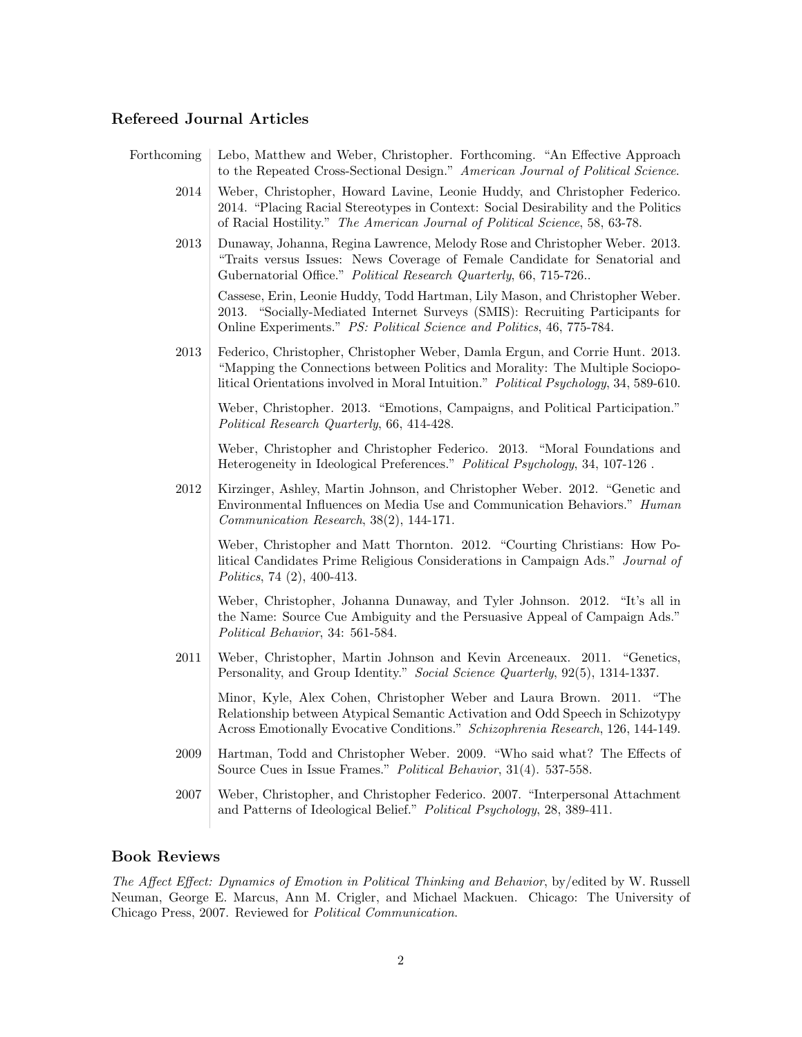### Refereed Journal Articles

| Forthcoming | Lebo, Matthew and Weber, Christopher. Forthcoming. "An Effective Approach<br>to the Repeated Cross-Sectional Design." American Journal of Political Science.                                                                                            |
|-------------|---------------------------------------------------------------------------------------------------------------------------------------------------------------------------------------------------------------------------------------------------------|
| 2014        | Weber, Christopher, Howard Lavine, Leonie Huddy, and Christopher Federico.<br>2014. "Placing Racial Stereotypes in Context: Social Desirability and the Politics<br>of Racial Hostility." The American Journal of Political Science, 58, 63-78.         |
| $\,2013$    | Dunaway, Johanna, Regina Lawrence, Melody Rose and Christopher Weber. 2013.<br>"Traits versus Issues: News Coverage of Female Candidate for Senatorial and<br>Gubernatorial Office." Political Research Quarterly, 66, 715-726                          |
|             | Cassese, Erin, Leonie Huddy, Todd Hartman, Lily Mason, and Christopher Weber.<br>2013. "Socially-Mediated Internet Surveys (SMIS): Recruiting Participants for<br>Online Experiments." PS: Political Science and Politics, 46, 775-784.                 |
| $\,2013$    | Federico, Christopher, Christopher Weber, Damla Ergun, and Corrie Hunt. 2013.<br>"Mapping the Connections between Politics and Morality: The Multiple Sociopo-<br>litical Orientations involved in Moral Intuition." Political Psychology, 34, 589-610. |
|             | Weber, Christopher. 2013. "Emotions, Campaigns, and Political Participation."<br>Political Research Quarterly, 66, 414-428.                                                                                                                             |
|             | Weber, Christopher and Christopher Federico. 2013. "Moral Foundations and<br>Heterogeneity in Ideological Preferences." Political Psychology, 34, 107-126.                                                                                              |
| $\,2012$    | Kirzinger, Ashley, Martin Johnson, and Christopher Weber. 2012. "Genetic and<br>Environmental Influences on Media Use and Communication Behaviors." Human<br>Communication Research, 38(2), 144-171.                                                    |
|             | Weber, Christopher and Matt Thornton. 2012. "Courting Christians: How Po-<br>litical Candidates Prime Religious Considerations in Campaign Ads." Journal of<br>Politics, 74 $(2)$ , 400-413.                                                            |
|             | Weber, Christopher, Johanna Dunaway, and Tyler Johnson. 2012. "It's all in<br>the Name: Source Cue Ambiguity and the Persuasive Appeal of Campaign Ads."<br>Political Behavior, 34: 561-584.                                                            |
| $2011\,$    | Weber, Christopher, Martin Johnson and Kevin Arceneaux. 2011. "Genetics,<br>Personality, and Group Identity." Social Science Quarterly, 92(5), 1314-1337.                                                                                               |
|             | Minor, Kyle, Alex Cohen, Christopher Weber and Laura Brown. 2011.<br>"The<br>Relationship between Atypical Semantic Activation and Odd Speech in Schizotypy<br>Across Emotionally Evocative Conditions." Schizophrenia Research, 126, 144-149.          |
| 2009        | Hartman, Todd and Christopher Weber. 2009. "Who said what? The Effects of<br>Source Cues in Issue Frames." Political Behavior, 31(4). 537-558.                                                                                                          |
| 2007        | Weber, Christopher, and Christopher Federico. 2007. "Interpersonal Attachment<br>and Patterns of Ideological Belief." Political Psychology, 28, 389-411.                                                                                                |

### Book Reviews

The Affect Effect: Dynamics of Emotion in Political Thinking and Behavior, by/edited by W. Russell Neuman, George E. Marcus, Ann M. Crigler, and Michael Mackuen. Chicago: The University of Chicago Press, 2007. Reviewed for Political Communication.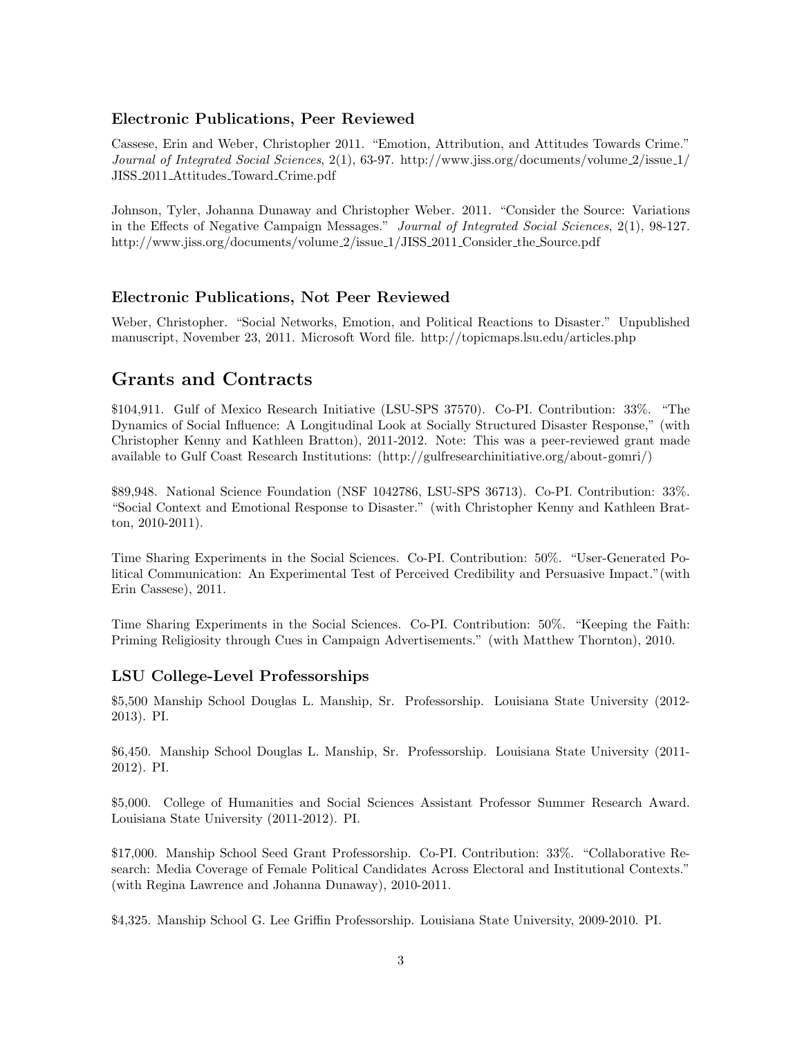#### Electronic Publications, Peer Reviewed

Cassese, Erin and Weber, Christopher 2011. "Emotion, Attribution, and Attitudes Towards Crime." Journal of Integrated Social Sciences, 2(1), 63-97. http://www.jiss.org/documents/volume 2/issue 1/ JISS 2011 Attitudes Toward Crime.pdf

Johnson, Tyler, Johanna Dunaway and Christopher Weber. 2011. "Consider the Source: Variations in the Effects of Negative Campaign Messages." Journal of Integrated Social Sciences, 2(1), 98-127. http://www.jiss.org/documents/volume 2/issue 1/JISS 2011 Consider the Source.pdf

### Electronic Publications, Not Peer Reviewed

Weber, Christopher. "Social Networks, Emotion, and Political Reactions to Disaster." Unpublished manuscript, November 23, 2011. Microsoft Word file. http://topicmaps.lsu.edu/articles.php

# Grants and Contracts

\$104,911. Gulf of Mexico Research Initiative (LSU-SPS 37570). Co-PI. Contribution: 33%. "The Dynamics of Social Influence: A Longitudinal Look at Socially Structured Disaster Response," (with Christopher Kenny and Kathleen Bratton), 2011-2012. Note: This was a peer-reviewed grant made available to Gulf Coast Research Institutions: (http://gulfresearchinitiative.org/about-gomri/)

\$89,948. National Science Foundation (NSF 1042786, LSU-SPS 36713). Co-PI. Contribution: 33%. "Social Context and Emotional Response to Disaster." (with Christopher Kenny and Kathleen Bratton, 2010-2011).

Time Sharing Experiments in the Social Sciences. Co-PI. Contribution: 50%. "User-Generated Political Communication: An Experimental Test of Perceived Credibility and Persuasive Impact."(with Erin Cassese), 2011.

Time Sharing Experiments in the Social Sciences. Co-PI. Contribution: 50%. "Keeping the Faith: Priming Religiosity through Cues in Campaign Advertisements." (with Matthew Thornton), 2010.

### LSU College-Level Professorships

\$5,500 Manship School Douglas L. Manship, Sr. Professorship. Louisiana State University (2012- 2013). PI.

\$6,450. Manship School Douglas L. Manship, Sr. Professorship. Louisiana State University (2011- 2012). PI.

\$5,000. College of Humanities and Social Sciences Assistant Professor Summer Research Award. Louisiana State University (2011-2012). PI.

\$17,000. Manship School Seed Grant Professorship. Co-PI. Contribution: 33%. "Collaborative Research: Media Coverage of Female Political Candidates Across Electoral and Institutional Contexts." (with Regina Lawrence and Johanna Dunaway), 2010-2011.

\$4,325. Manship School G. Lee Griffin Professorship. Louisiana State University, 2009-2010. PI.